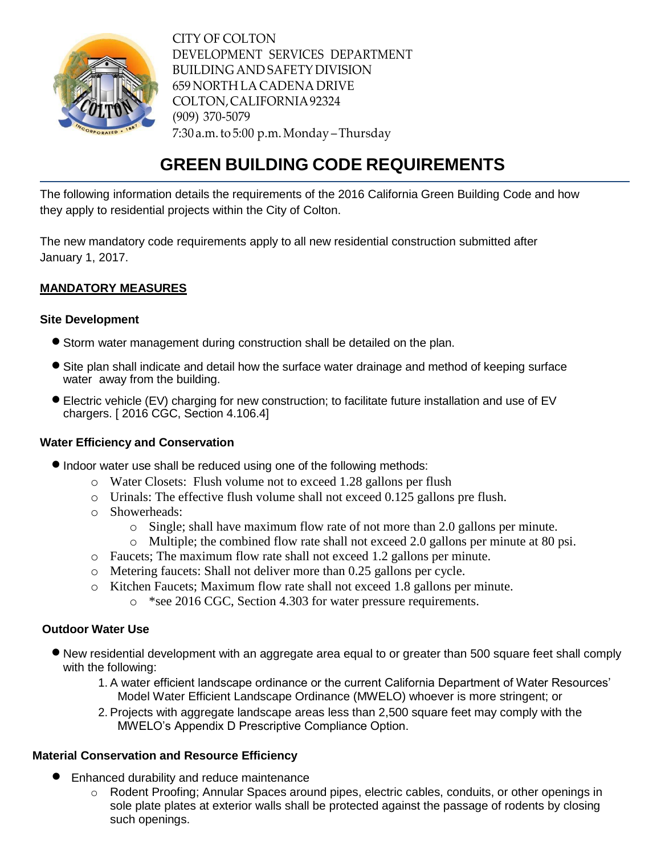

CITY OF COLTON DEVELOPMENT SERVICES DEPARTMENT BUILDING AND SAFETY DIVISION 659 NORTH LA CADENA DRIVE COLTON,CALIFORNIA92324 (909) 370-5079 7:30 a.m.to 5:00 p.m.Monday –Thursday

# **GREEN BUILDING CODE REQUIREMENTS**

The following information details the requirements of the 2016 California Green Building Code and how they apply to residential projects within the City of Colton.

The new mandatory code requirements apply to all new residential construction submitted after January 1, 2017.

## **MANDATORY MEASURES**

## **Site Development**

- Storm water management during construction shall be detailed on the plan.
- Site plan shall indicate and detail how the surface water drainage and method of keeping surface water away from the building.
- Electric vehicle (EV) charging for new construction; to facilitate future installation and use of EV chargers. [ 2016 CGC, Section 4.106.4]

## **Water Efficiency and Conservation**

- $\bullet$  Indoor water use shall be reduced using one of the following methods:
	- o Water Closets: Flush volume not to exceed 1.28 gallons per flush
	- o Urinals: The effective flush volume shall not exceed 0.125 gallons pre flush.
	- o Showerheads:
		- o Single; shall have maximum flow rate of not more than 2.0 gallons per minute.
		- o Multiple; the combined flow rate shall not exceed 2.0 gallons per minute at 80 psi.
	- o Faucets; The maximum flow rate shall not exceed 1.2 gallons per minute.
	- o Metering faucets: Shall not deliver more than 0.25 gallons per cycle.
	- o Kitchen Faucets; Maximum flow rate shall not exceed 1.8 gallons per minute. o \*see 2016 CGC, Section 4.303 for water pressure requirements.

## **Outdoor Water Use**

- New residential development with an aggregate area equal to or greater than 500 square feet shall comply with the following:
	- 1. A water efficient landscape ordinance or the current California Department of Water Resources' Model Water Efficient Landscape Ordinance (MWELO) whoever is more stringent; or
	- 2. Projects with aggregate landscape areas less than 2,500 square feet may comply with the MWELO's Appendix D Prescriptive Compliance Option.

## **Material Conservation and Resource Efficiency**

- Enhanced durability and reduce maintenance
	- o Rodent Proofing; Annular Spaces around pipes, electric cables, conduits, or other openings in sole plate plates at exterior walls shall be protected against the passage of rodents by closing such openings.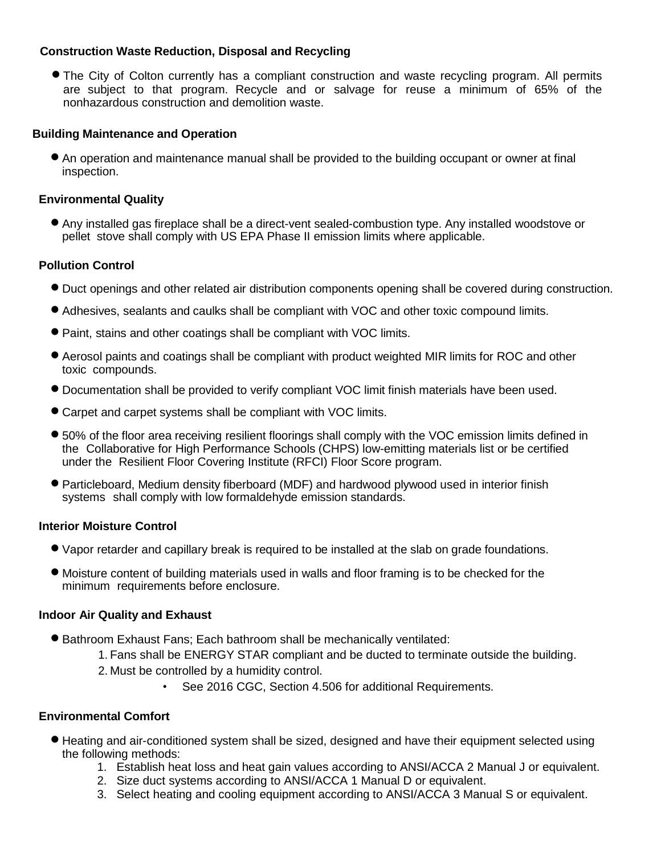## **Construction Waste Reduction, Disposal and Recycling**

• The City of Colton currently has a compliant construction and waste recycling program. All permits are subject to that program. Recycle and or salvage for reuse a minimum of 65% of the nonhazardous construction and demolition waste.

## **Building Maintenance and Operation**

 An operation and maintenance manual shall be provided to the building occupant or owner at final inspection.

## **Environmental Quality**

 Any installed gas fireplace shall be <sup>a</sup> direct-vent sealed-combustion type. Any installed woodstove or pellet stove shall comply with US EPA Phase II emission limits where applicable.

## **Pollution Control**

- Duct openings and other related air distribution components opening shall be covered during construction.
- Adhesives, sealants and caulks shall be compliant with VOC and other toxic compound limits.
- Paint, stains and other coatings shall be compliant with VOC limits.
- Aerosol paints and coatings shall be compliant with product weighted MIR limits for ROC and other toxic compounds.
- Documentation shall be provided to verify compliant VOC limit finish materials have been used.
- Carpet and carpet systems shall be compliant with VOC limits.
- 50% of the floor area receiving resilient floorings shall comply with the VOC emission limits defined in the Collaborative for High Performance Schools (CHPS) low-emitting materials list or be certified under the Resilient Floor Covering Institute (RFCI) Floor Score program.
- Particleboard, Medium density fiberboard (MDF) and hardwood plywood used in interior finish systems shall comply with low formaldehyde emission standards.

## **Interior Moisture Control**

- Vapor retarder and capillary break is required to be installed at the slab on grade foundations.
- Moisture content of building materials used in walls and floor framing is to be checked for the minimum requirements before enclosure.

## **Indoor Air Quality and Exhaust**

- Bathroom Exhaust Fans; Each bathroom shall be mechanically ventilated:
	- 1. Fans shall be ENERGY STAR compliant and be ducted to terminate outside the building.
	- 2. Must be controlled by a humidity control.
		- See 2016 CGC, Section 4.506 for additional Requirements.

## **Environmental Comfort**

- Heating and air-conditioned system shall be sized, designed and have their equipment selected using the following methods:
	- 1. Establish heat loss and heat gain values according to ANSI/ACCA 2 Manual J or equivalent.
	- 2. Size duct systems according to ANSI/ACCA 1 Manual D or equivalent.
	- 3. Select heating and cooling equipment according to ANSI/ACCA 3 Manual S or equivalent.